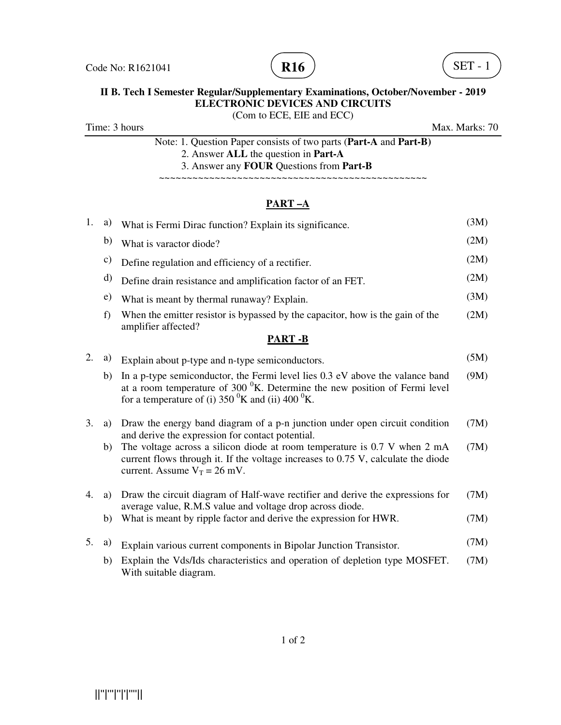



# **II B. Tech I Semester Regular/Supplementary Examinations, October/November - 2019 ELECTRONIC DEVICES AND CIRCUITS**

(Com to ECE, EIE and ECC)

Time: 3 hours Max. Marks: 70

Note: 1. Question Paper consists of two parts (**Part-A** and **Part-B)** 2. Answer **ALL** the question in **Part-A** 3. Answer any **FOUR** Questions from **Part-B**

~~~~~~~~~~~~~~~~~~~~~~~~~~~~~~~~~~~~~~~~~~~~~~~~

# **PART –A**

| 1. | a) | What is Fermi Dirac function? Explain its significance.                                                                                                                                                                                     | (3M) |
|----|----|---------------------------------------------------------------------------------------------------------------------------------------------------------------------------------------------------------------------------------------------|------|
|    | b) | What is varactor diode?                                                                                                                                                                                                                     | (2M) |
|    | c) | Define regulation and efficiency of a rectifier.                                                                                                                                                                                            | (2M) |
|    | d) | Define drain resistance and amplification factor of an FET.                                                                                                                                                                                 | (2M) |
|    | e) | What is meant by thermal runaway? Explain.                                                                                                                                                                                                  | (3M) |
|    | f) | When the emitter resistor is bypassed by the capacitor, how is the gain of the<br>amplifier affected?                                                                                                                                       | (2M) |
|    |    | <b>PART-B</b>                                                                                                                                                                                                                               |      |
| 2. | a) | Explain about p-type and n-type semiconductors.                                                                                                                                                                                             | (5M) |
|    | b) | In a p-type semiconductor, the Fermi level lies 0.3 eV above the valance band<br>at a room temperature of $300 \text{ }^0$ K. Determine the new position of Fermi level<br>for a temperature of (i) 350 ${}^{0}$ K and (ii) 400 ${}^{0}$ K. | (9M) |
| 3. | a) | Draw the energy band diagram of a p-n junction under open circuit condition<br>and derive the expression for contact potential.                                                                                                             | (7M) |
|    | b) | The voltage across a silicon diode at room temperature is 0.7 V when 2 mA<br>current flows through it. If the voltage increases to 0.75 V, calculate the diode<br>current. Assume $V_T = 26$ mV.                                            | (7M) |
| 4. | a) | Draw the circuit diagram of Half-wave rectifier and derive the expressions for<br>average value, R.M.S value and voltage drop across diode.                                                                                                 | (7M) |
|    | b) | What is meant by ripple factor and derive the expression for HWR.                                                                                                                                                                           | (7M) |
| 5. | a) | Explain various current components in Bipolar Junction Transistor.                                                                                                                                                                          | (7M) |
|    | b) | Explain the Vds/Ids characteristics and operation of depletion type MOSFET.<br>With suitable diagram.                                                                                                                                       | (7M) |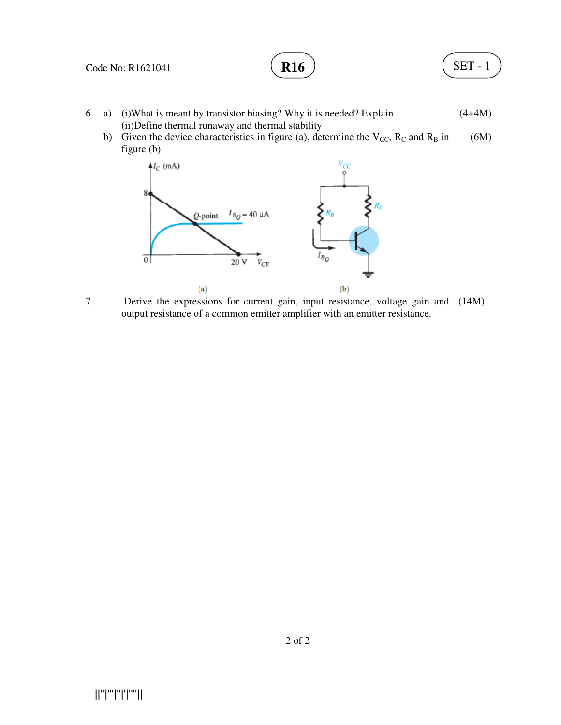# **R16**

$$
SET - 1
$$

- 6. a) (i)What is meant by transistor biasing? Why it is needed? Explain. (ii)Define thermal runaway and thermal stability  $(4+4M)$ 
	- b) Given the device characteristics in figure (a), determine the  $V_{CC}$ ,  $R_C$  and  $R_B$  in figure (b). (6M)



7. Derive the expressions for current gain, input resistance, voltage gain and (14M) output resistance of a common emitter amplifier with an emitter resistance.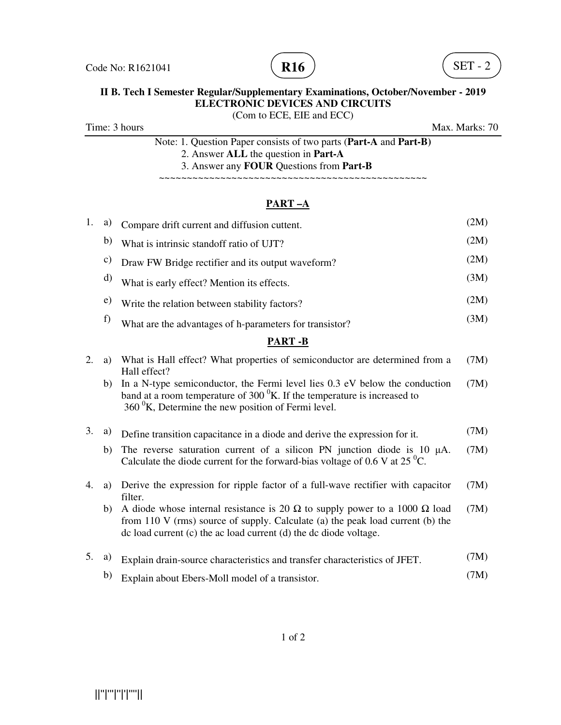



### **II B. Tech I Semester Regular/Supplementary Examinations, October/November - 2019 ELECTRONIC DEVICES AND CIRCUITS**  (Com to ECE, EIE and ECC)

Time: 3 hours Max. Marks: 70

Note: 1. Question Paper consists of two parts (**Part-A** and **Part-B)** 2. Answer **ALL** the question in **Part-A** 3. Answer any **FOUR** Questions from **Part-B**

~~~~~~~~~~~~~~~~~~~~~~~~~~~~~~~~~~~~~~~~~~~~~~~~

## **PART –A**

| 1.            | a)            | Compare drift current and diffusion cuttent.                                                                                                                                                                                                    | (2M) |  |  |
|---------------|---------------|-------------------------------------------------------------------------------------------------------------------------------------------------------------------------------------------------------------------------------------------------|------|--|--|
|               | b)            | What is intrinsic standoff ratio of UJT?                                                                                                                                                                                                        | (2M) |  |  |
|               | $\mathbf{c})$ | Draw FW Bridge rectifier and its output waveform?                                                                                                                                                                                               | (2M) |  |  |
|               | d)            | What is early effect? Mention its effects.                                                                                                                                                                                                      | (3M) |  |  |
|               | e)            | Write the relation between stability factors?                                                                                                                                                                                                   | (2M) |  |  |
|               | f)            | What are the advantages of h-parameters for transistor?                                                                                                                                                                                         | (3M) |  |  |
| <b>PART-B</b> |               |                                                                                                                                                                                                                                                 |      |  |  |
| 2.            | a)            | What is Hall effect? What properties of semiconductor are determined from a<br>Hall effect?                                                                                                                                                     | (7M) |  |  |
|               | b)            | In a N-type semiconductor, the Fermi level lies 0.3 eV below the conduction<br>band at a room temperature of $3000K$ . If the temperature is increased to<br>$360\,^0$ K, Determine the new position of Fermi level.                            | (7M) |  |  |
| 3.            | a)            | Define transition capacitance in a diode and derive the expression for it.                                                                                                                                                                      | (7M) |  |  |
|               | b)            | The reverse saturation current of a silicon PN junction diode is $10 \mu A$ .<br>Calculate the diode current for the forward-bias voltage of 0.6 V at 25 $^0C$ .                                                                                | (7M) |  |  |
| 4.            | a)            | Derive the expression for ripple factor of a full-wave rectifier with capacitor<br>filter.                                                                                                                                                      | (7M) |  |  |
|               | b)            | A diode whose internal resistance is 20 $\Omega$ to supply power to a 1000 $\Omega$ load<br>from 110 V (rms) source of supply. Calculate (a) the peak load current (b) the<br>dc load current (c) the ac load current (d) the dc diode voltage. | (7M) |  |  |
| 5.            | a)            | Explain drain-source characteristics and transfer characteristics of JFET.                                                                                                                                                                      | (7M) |  |  |
|               | b)            | Explain about Ebers-Moll model of a transistor.                                                                                                                                                                                                 | (7M) |  |  |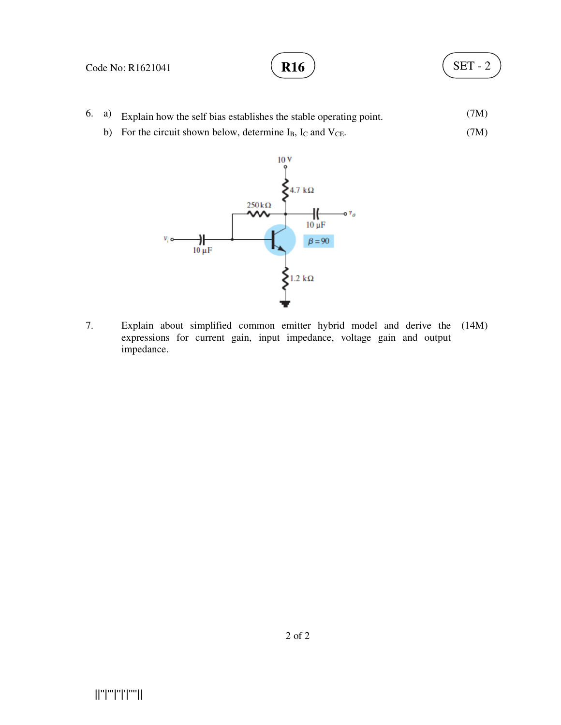#### Code No: R1621041

- 6. a) Explain how the self bias establishes the stable operating point. (7M)
	- b) For the circuit shown below, determine  $I_B$ ,  $I_C$  and  $V_{CE}$ . (7M)



7. Explain about simplified common emitter hybrid model and derive the (14M) expressions for current gain, input impedance, voltage gain and output impedance.

||''|'''|''|'|''''||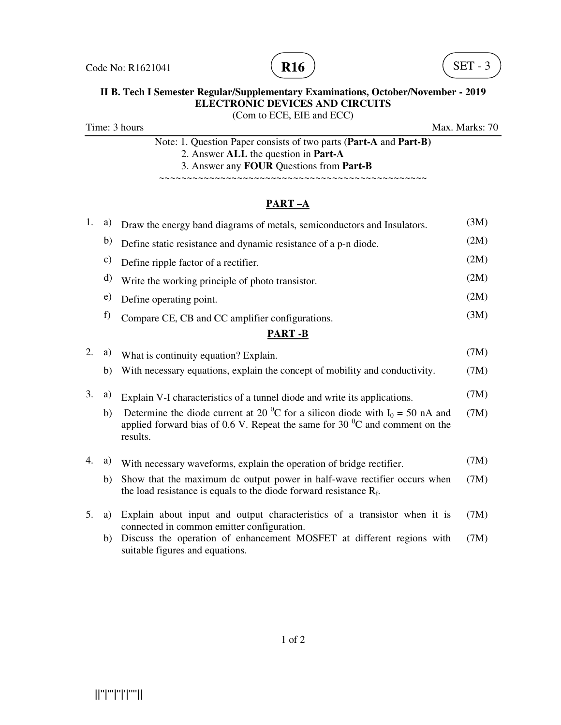



# **II B. Tech I Semester Regular/Supplementary Examinations, October/November - 2019 ELECTRONIC DEVICES AND CIRCUITS**

(Com to ECE, EIE and ECC)

Time: 3 hours Max. Marks: 70

Note: 1. Question Paper consists of two parts (**Part-A** and **Part-B)** 2. Answer **ALL** the question in **Part-A** 3. Answer any **FOUR** Questions from **Part-B**

~~~~~~~~~~~~~~~~~~~~~~~~~~~~~~~~~~~~~~~~~~~~~~~~

# **PART –A**

| 1. | a)            | Draw the energy band diagrams of metals, semiconductors and Insulators.                                                                                                                              | (3M) |
|----|---------------|------------------------------------------------------------------------------------------------------------------------------------------------------------------------------------------------------|------|
|    | b)            | Define static resistance and dynamic resistance of a p-n diode.                                                                                                                                      | (2M) |
|    | $\mathbf{c})$ | Define ripple factor of a rectifier.                                                                                                                                                                 | (2M) |
|    | d)            | Write the working principle of photo transistor.                                                                                                                                                     | (2M) |
|    | e)            | Define operating point.                                                                                                                                                                              | (2M) |
|    | f)            | Compare CE, CB and CC amplifier configurations.                                                                                                                                                      | (3M) |
|    |               | <b>PART-B</b>                                                                                                                                                                                        |      |
| 2. | a)            | What is continuity equation? Explain.                                                                                                                                                                | (7M) |
|    | b)            | With necessary equations, explain the concept of mobility and conductivity.                                                                                                                          | (7M) |
| 3. | a)            | Explain V-I characteristics of a tunnel diode and write its applications.                                                                                                                            | (7M) |
|    | b)            | Determine the diode current at 20 <sup>0</sup> C for a silicon diode with $I_0 = 50$ nA and<br>applied forward bias of 0.6 V. Repeat the same for 30 $\mathrm{^{0}C}$ and comment on the<br>results. | (7M) |
| 4. | a)            | With necessary waveforms, explain the operation of bridge rectifier.                                                                                                                                 | (7M) |
|    | b)            | Show that the maximum dc output power in half-wave rectifier occurs when<br>the load resistance is equals to the diode forward resistance $R_f$ .                                                    | (7M) |
| 5. | a)            | Explain about input and output characteristics of a transistor when it is<br>connected in common emitter configuration.                                                                              | (7M) |
|    | b)            | Discuss the operation of enhancement MOSFET at different regions with<br>suitable figures and equations.                                                                                             | (7M) |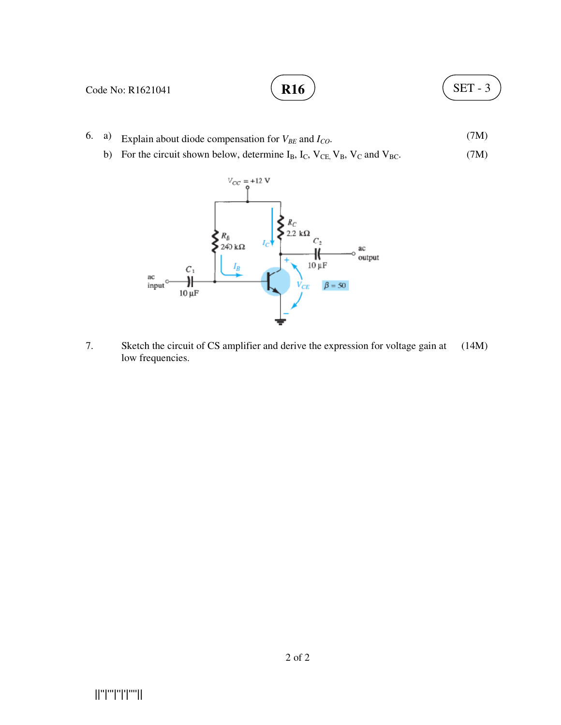

- 6. a) Explain about diode compensation for  $V_{BE}$  and  $I_{CO}$ . (7M)
	- b) For the circuit shown below, determine  $I_B$ ,  $I_C$ ,  $V_{CE}$ ,  $V_B$ ,  $V_C$  and  $V_{BC}$ . (7M)



7. Sketch the circuit of CS amplifier and derive the expression for voltage gain at low frequencies. (14M)